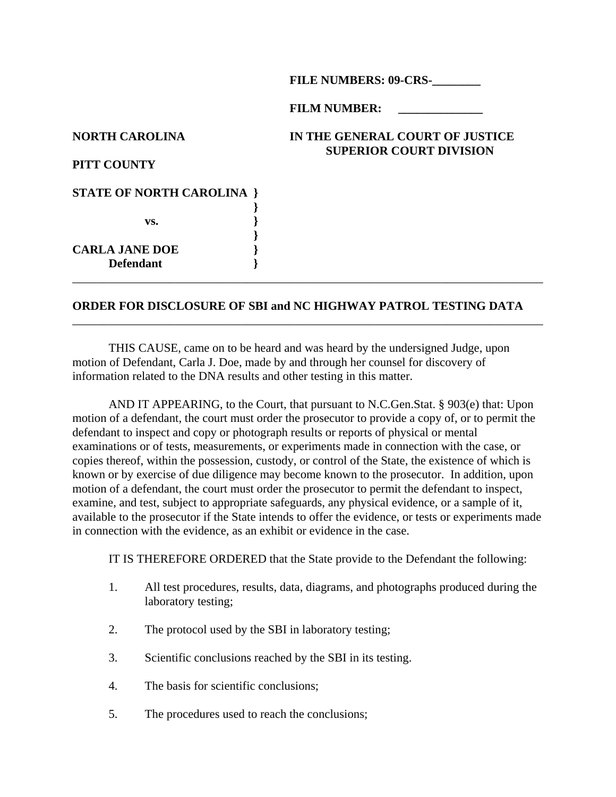|                                  | FILE NUMBERS: 09-CRS-                                             |
|----------------------------------|-------------------------------------------------------------------|
|                                  | <b>FILM NUMBER:</b>                                               |
| <b>NORTH CAROLINA</b>            | IN THE GENERAL COURT OF JUSTICE<br><b>SUPERIOR COURT DIVISION</b> |
| PITT COUNTY                      |                                                                   |
| <b>STATE OF NORTH CAROLINA }</b> |                                                                   |
|                                  |                                                                   |
| VS.                              |                                                                   |
|                                  |                                                                   |
| <b>CARLA JANE DOE</b>            |                                                                   |
| <b>Defendant</b>                 |                                                                   |
|                                  |                                                                   |

 $\mathbf{F} = \mathbf{F} \mathbf{F} \mathbf{F} \mathbf{F} \mathbf{F} \mathbf{F} \mathbf{F} \mathbf{F} \mathbf{F} \mathbf{F} \mathbf{F} \mathbf{F} \mathbf{F} \mathbf{F} \mathbf{F} \mathbf{F} \mathbf{F} \mathbf{F} \mathbf{F} \mathbf{F} \mathbf{F} \mathbf{F} \mathbf{F} \mathbf{F} \mathbf{F} \mathbf{F} \mathbf{F} \mathbf{F} \mathbf{F} \mathbf{F} \mathbf{F} \mathbf{F} \mathbf{F} \mathbf{F} \mathbf{F} \mathbf$ 

## **ORDER FOR DISCLOSURE OF SBI and NC HIGHWAY PATROL TESTING DATA**

\_\_\_\_\_\_\_\_\_\_\_\_\_\_\_\_\_\_\_\_\_\_\_\_\_\_\_\_\_\_\_\_\_\_\_\_\_\_\_\_\_\_\_\_\_\_\_\_\_\_\_\_\_\_\_\_\_\_\_\_\_\_\_\_\_\_\_\_\_\_\_\_\_\_\_\_\_\_

THIS CAUSE, came on to be heard and was heard by the undersigned Judge, upon motion of Defendant, Carla J. Doe, made by and through her counsel for discovery of information related to the DNA results and other testing in this matter.

AND IT APPEARING, to the Court, that pursuant to N.C.Gen.Stat. § 903(e) that: Upon motion of a defendant, the court must order the prosecutor to provide a copy of, or to permit the defendant to inspect and copy or photograph results or reports of physical or mental examinations or of tests, measurements, or experiments made in connection with the case, or copies thereof, within the possession, custody, or control of the State, the existence of which is known or by exercise of due diligence may become known to the prosecutor. In addition, upon motion of a defendant, the court must order the prosecutor to permit the defendant to inspect, examine, and test, subject to appropriate safeguards, any physical evidence, or a sample of it, available to the prosecutor if the State intends to offer the evidence, or tests or experiments made in connection with the evidence, as an exhibit or evidence in the case.

IT IS THEREFORE ORDERED that the State provide to the Defendant the following:

- 1. All test procedures, results, data, diagrams, and photographs produced during the laboratory testing;
- 2. The protocol used by the SBI in laboratory testing;
- 3. Scientific conclusions reached by the SBI in its testing.
- 4. The basis for scientific conclusions;
- 5. The procedures used to reach the conclusions;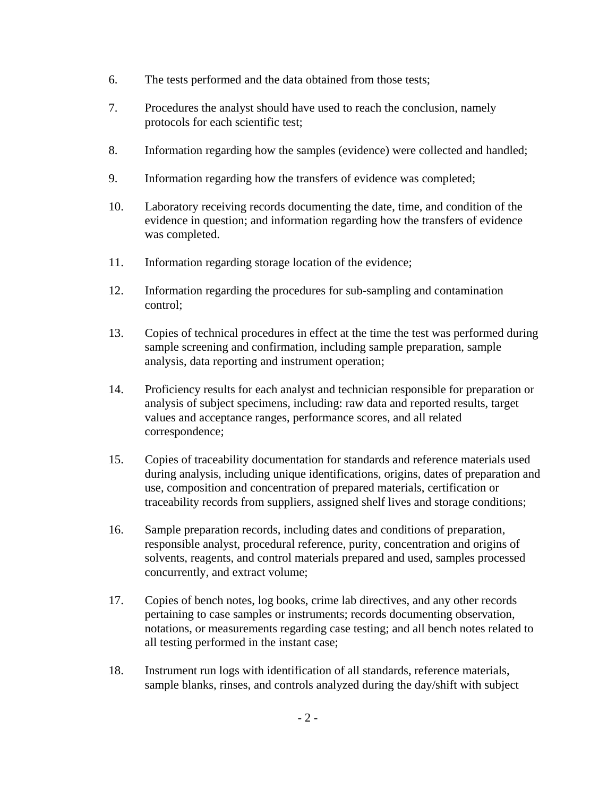- 6. The tests performed and the data obtained from those tests;
- 7. Procedures the analyst should have used to reach the conclusion, namely protocols for each scientific test;
- 8. Information regarding how the samples (evidence) were collected and handled;
- 9. Information regarding how the transfers of evidence was completed;
- 10. Laboratory receiving records documenting the date, time, and condition of the evidence in question; and information regarding how the transfers of evidence was completed.
- 11. Information regarding storage location of the evidence;
- 12. Information regarding the procedures for sub-sampling and contamination control;
- 13. Copies of technical procedures in effect at the time the test was performed during sample screening and confirmation, including sample preparation, sample analysis, data reporting and instrument operation;
- 14. Proficiency results for each analyst and technician responsible for preparation or analysis of subject specimens, including: raw data and reported results, target values and acceptance ranges, performance scores, and all related correspondence;
- 15. Copies of traceability documentation for standards and reference materials used during analysis, including unique identifications, origins, dates of preparation and use, composition and concentration of prepared materials, certification or traceability records from suppliers, assigned shelf lives and storage conditions;
- 16. Sample preparation records, including dates and conditions of preparation, responsible analyst, procedural reference, purity, concentration and origins of solvents, reagents, and control materials prepared and used, samples processed concurrently, and extract volume;
- 17. Copies of bench notes, log books, crime lab directives, and any other records pertaining to case samples or instruments; records documenting observation, notations, or measurements regarding case testing; and all bench notes related to all testing performed in the instant case;
- 18. Instrument run logs with identification of all standards, reference materials, sample blanks, rinses, and controls analyzed during the day/shift with subject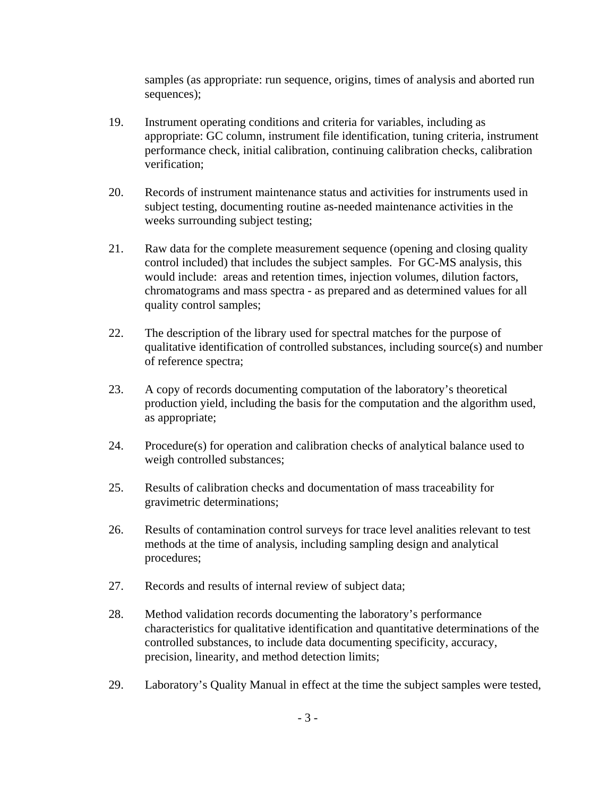samples (as appropriate: run sequence, origins, times of analysis and aborted run sequences);

- 19. Instrument operating conditions and criteria for variables, including as appropriate: GC column, instrument file identification, tuning criteria, instrument performance check, initial calibration, continuing calibration checks, calibration verification;
- 20. Records of instrument maintenance status and activities for instruments used in subject testing, documenting routine as-needed maintenance activities in the weeks surrounding subject testing;
- 21. Raw data for the complete measurement sequence (opening and closing quality control included) that includes the subject samples. For GC-MS analysis, this would include: areas and retention times, injection volumes, dilution factors, chromatograms and mass spectra - as prepared and as determined values for all quality control samples;
- 22. The description of the library used for spectral matches for the purpose of qualitative identification of controlled substances, including source(s) and number of reference spectra;
- 23. A copy of records documenting computation of the laboratory's theoretical production yield, including the basis for the computation and the algorithm used, as appropriate;
- 24. Procedure(s) for operation and calibration checks of analytical balance used to weigh controlled substances;
- 25. Results of calibration checks and documentation of mass traceability for gravimetric determinations;
- 26. Results of contamination control surveys for trace level analities relevant to test methods at the time of analysis, including sampling design and analytical procedures;
- 27. Records and results of internal review of subject data;
- 28. Method validation records documenting the laboratory's performance characteristics for qualitative identification and quantitative determinations of the controlled substances, to include data documenting specificity, accuracy, precision, linearity, and method detection limits;
- 29. Laboratory's Quality Manual in effect at the time the subject samples were tested,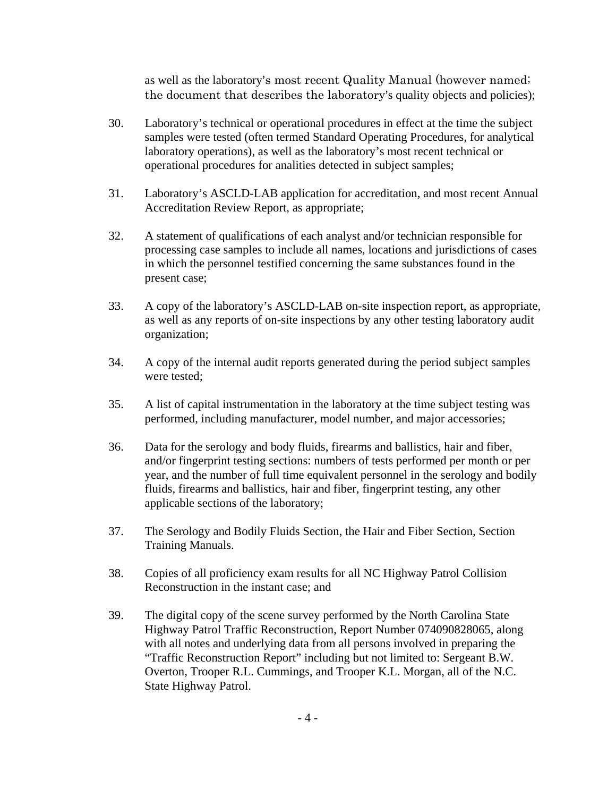as well as the laboratory's most recent Quality Manual (however named; the document that describes the laboratory's quality objects and policies);

- 30. Laboratory's technical or operational procedures in effect at the time the subject samples were tested (often termed Standard Operating Procedures, for analytical laboratory operations), as well as the laboratory's most recent technical or operational procedures for analities detected in subject samples;
- 31. Laboratory's ASCLD-LAB application for accreditation, and most recent Annual Accreditation Review Report, as appropriate;
- 32. A statement of qualifications of each analyst and/or technician responsible for processing case samples to include all names, locations and jurisdictions of cases in which the personnel testified concerning the same substances found in the present case;
- 33. A copy of the laboratory's ASCLD-LAB on-site inspection report, as appropriate, as well as any reports of on-site inspections by any other testing laboratory audit organization;
- 34. A copy of the internal audit reports generated during the period subject samples were tested;
- 35. A list of capital instrumentation in the laboratory at the time subject testing was performed, including manufacturer, model number, and major accessories;
- 36. Data for the serology and body fluids, firearms and ballistics, hair and fiber, and/or fingerprint testing sections: numbers of tests performed per month or per year, and the number of full time equivalent personnel in the serology and bodily fluids, firearms and ballistics, hair and fiber, fingerprint testing, any other applicable sections of the laboratory;
- 37. The Serology and Bodily Fluids Section, the Hair and Fiber Section, Section Training Manuals.
- 38. Copies of all proficiency exam results for all NC Highway Patrol Collision Reconstruction in the instant case; and
- 39. The digital copy of the scene survey performed by the North Carolina State Highway Patrol Traffic Reconstruction, Report Number 074090828065, along with all notes and underlying data from all persons involved in preparing the "Traffic Reconstruction Report" including but not limited to: Sergeant B.W. Overton, Trooper R.L. Cummings, and Trooper K.L. Morgan, all of the N.C. State Highway Patrol.